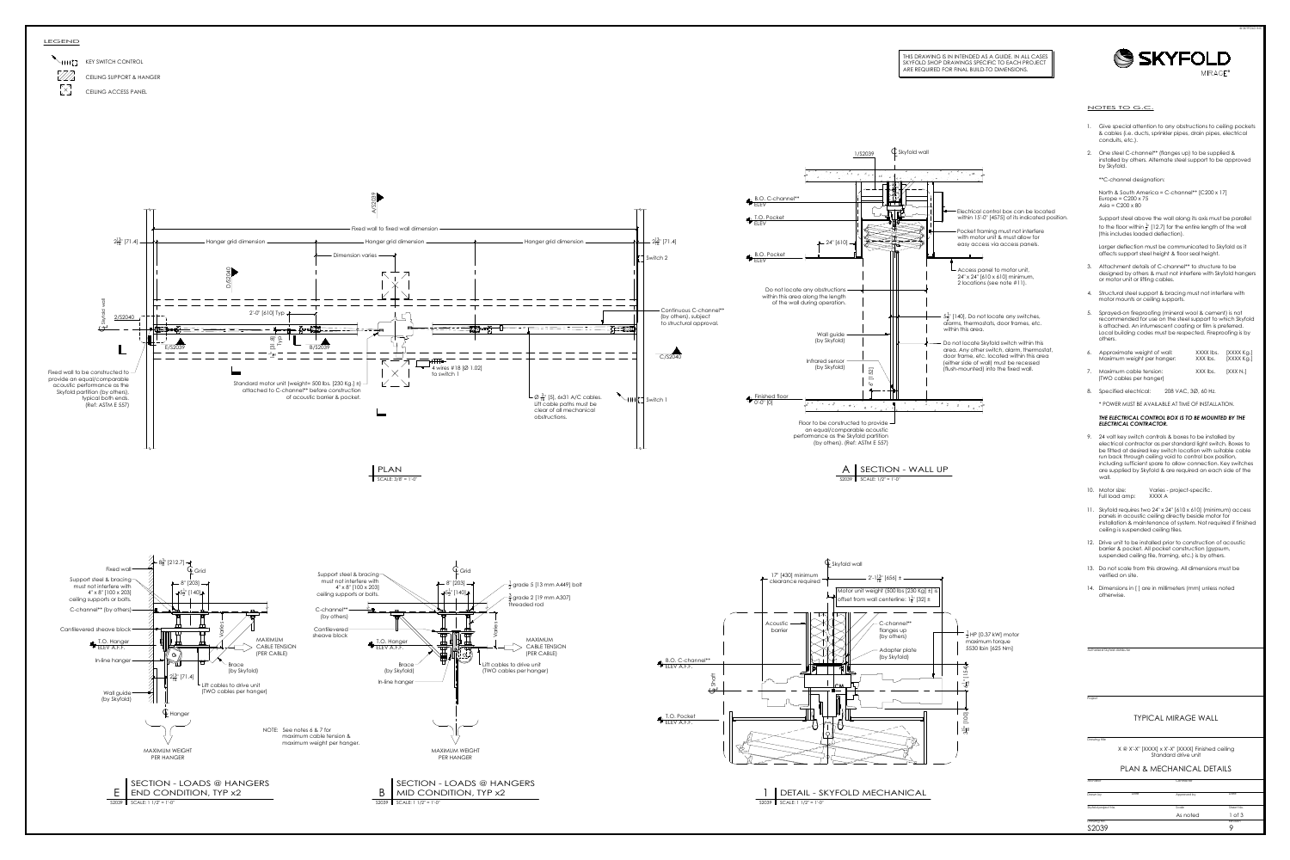



- 
- 

- 
- 
- 
- 
- 

- 
- 
- 
- 
- 
- 

Project<br>
Drawing title<br>
X @ X'-X" [XXXX] x X'-X" [XXXX] Finished ceiling<br>
Skyfold project No. Date Approved by Date<br>
Skyfold project No. Scale Sheet No.<br>
Drawing No. As noted 1 of 3<br>
Drawing No.